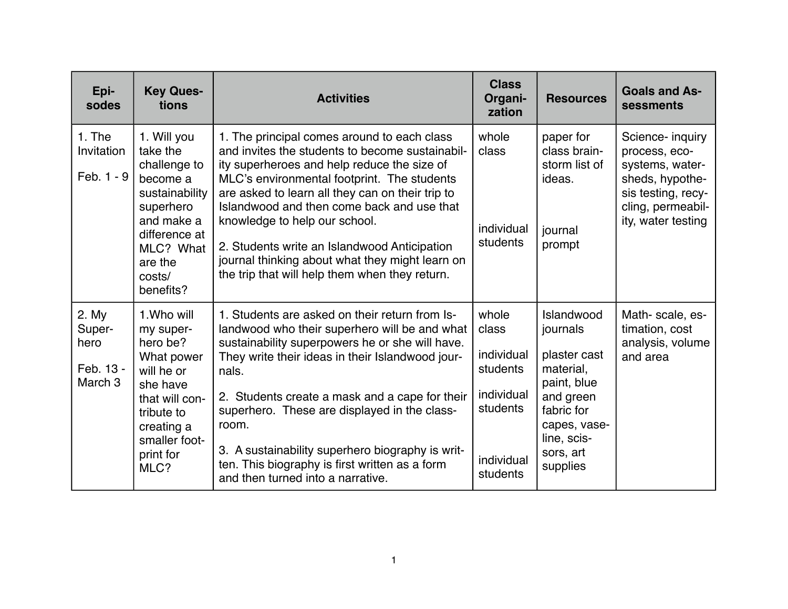| Epi-<br>sodes                                              | <b>Key Ques-</b><br>tions                                                                                                                                        | <b>Activities</b>                                                                                                                                                                                                                                                                                                                                                                                                                                                                    | <b>Class</b><br>Organi-<br>zation                                                            | <b>Resources</b>                                                                                                                                      | <b>Goals and As-</b><br>sessments                                                                                                        |
|------------------------------------------------------------|------------------------------------------------------------------------------------------------------------------------------------------------------------------|--------------------------------------------------------------------------------------------------------------------------------------------------------------------------------------------------------------------------------------------------------------------------------------------------------------------------------------------------------------------------------------------------------------------------------------------------------------------------------------|----------------------------------------------------------------------------------------------|-------------------------------------------------------------------------------------------------------------------------------------------------------|------------------------------------------------------------------------------------------------------------------------------------------|
| 1. The<br>Invitation<br>Feb. 1 - 9                         | 1. Will you<br>take the<br>challenge to<br>become a<br>sustainability<br>superhero<br>and make a<br>difference at<br>MLC? What<br>are the<br>costs/<br>benefits? | 1. The principal comes around to each class<br>and invites the students to become sustainabil-<br>ity superheroes and help reduce the size of<br>MLC's environmental footprint. The students<br>are asked to learn all they can on their trip to<br>Islandwood and then come back and use that<br>knowledge to help our school.<br>2. Students write an Islandwood Anticipation<br>journal thinking about what they might learn on<br>the trip that will help them when they return. | whole<br>class<br>individual<br>students                                                     | paper for<br>class brain-<br>storm list of<br>ideas.<br>journal<br>prompt                                                                             | Science- inquiry<br>process, eco-<br>systems, water-<br>sheds, hypothe-<br>sis testing, recy-<br>cling, permeabil-<br>ity, water testing |
| 2. My<br>Super-<br>hero<br>Feb. 13 -<br>March <sub>3</sub> | 1. Who will<br>my super-<br>hero be?<br>What power<br>will he or<br>she have<br>that will con-<br>tribute to<br>creating a<br>smaller foot-<br>print for<br>MLC? | 1. Students are asked on their return from Is-<br>landwood who their superhero will be and what<br>sustainability superpowers he or she will have.<br>They write their ideas in their Islandwood jour-<br>nals.<br>2. Students create a mask and a cape for their<br>superhero. These are displayed in the class-<br>room.<br>3. A sustainability superhero biography is writ-<br>ten. This biography is first written as a form<br>and then turned into a narrative.                | whole<br>class<br>individual<br>students<br>individual<br>students<br>individual<br>students | Islandwood<br>journals<br>plaster cast<br>material,<br>paint, blue<br>and green<br>fabric for<br>capes, vase-<br>line, scis-<br>sors, art<br>supplies | Math-scale, es-<br>timation, cost<br>analysis, volume<br>and area                                                                        |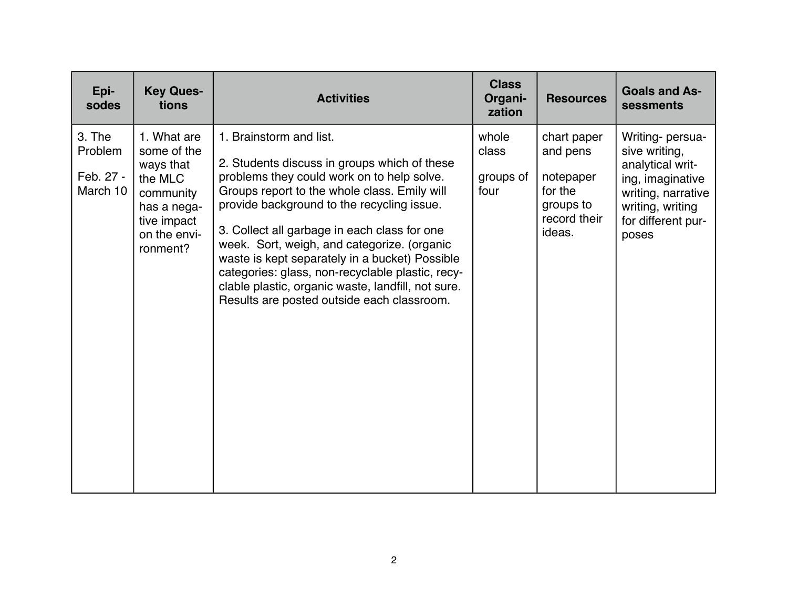| Epi-<br>sodes                              | <b>Key Ques-</b><br>tions                                                                                                 | <b>Activities</b>                                                                                                                                                                                                                                                                                                                                                                                                                                                                                                            | <b>Class</b><br>Organi-<br>zation   | <b>Resources</b>                                                                       | <b>Goals and As-</b><br>sessments                                                                                                                  |
|--------------------------------------------|---------------------------------------------------------------------------------------------------------------------------|------------------------------------------------------------------------------------------------------------------------------------------------------------------------------------------------------------------------------------------------------------------------------------------------------------------------------------------------------------------------------------------------------------------------------------------------------------------------------------------------------------------------------|-------------------------------------|----------------------------------------------------------------------------------------|----------------------------------------------------------------------------------------------------------------------------------------------------|
| 3. The<br>Problem<br>Feb. 27 -<br>March 10 | 1. What are<br>some of the<br>ways that<br>the MLC<br>community<br>has a nega-<br>tive impact<br>on the envi-<br>ronment? | 1. Brainstorm and list.<br>2. Students discuss in groups which of these<br>problems they could work on to help solve.<br>Groups report to the whole class. Emily will<br>provide background to the recycling issue.<br>3. Collect all garbage in each class for one<br>week. Sort, weigh, and categorize. (organic<br>waste is kept separately in a bucket) Possible<br>categories: glass, non-recyclable plastic, recy-<br>clable plastic, organic waste, landfill, not sure.<br>Results are posted outside each classroom. | whole<br>class<br>groups of<br>four | chart paper<br>and pens<br>notepaper<br>for the<br>groups to<br>record their<br>ideas. | Writing- persua-<br>sive writing,<br>analytical writ-<br>ing, imaginative<br>writing, narrative<br>writing, writing<br>for different pur-<br>poses |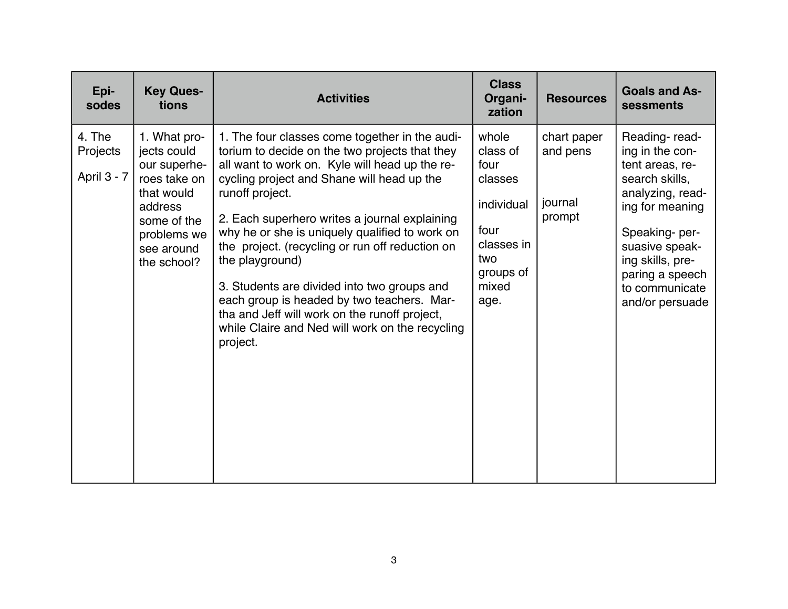| Epi-<br>sodes                     | <b>Key Ques-</b><br>tions                                                                                                                       | <b>Activities</b>                                                                                                                                                                                                                                                                                                                                                                                                                                                                                                                                                                                         | <b>Class</b><br>Organi-<br>zation                                                                             | <b>Resources</b>                             | <b>Goals and As-</b><br>sessments                                                                                                                                                                                           |
|-----------------------------------|-------------------------------------------------------------------------------------------------------------------------------------------------|-----------------------------------------------------------------------------------------------------------------------------------------------------------------------------------------------------------------------------------------------------------------------------------------------------------------------------------------------------------------------------------------------------------------------------------------------------------------------------------------------------------------------------------------------------------------------------------------------------------|---------------------------------------------------------------------------------------------------------------|----------------------------------------------|-----------------------------------------------------------------------------------------------------------------------------------------------------------------------------------------------------------------------------|
| 4. The<br>Projects<br>April 3 - 7 | 1. What pro-<br>jects could<br>our superhe-<br>roes take on<br>that would<br>address<br>some of the<br>problems we<br>see around<br>the school? | 1. The four classes come together in the audi-<br>torium to decide on the two projects that they<br>all want to work on. Kyle will head up the re-<br>cycling project and Shane will head up the<br>runoff project.<br>2. Each superhero writes a journal explaining<br>why he or she is uniquely qualified to work on<br>the project. (recycling or run off reduction on<br>the playground)<br>3. Students are divided into two groups and<br>each group is headed by two teachers. Mar-<br>tha and Jeff will work on the runoff project,<br>while Claire and Ned will work on the recycling<br>project. | whole<br>class of<br>four<br>classes<br>individual<br>four<br>classes in<br>two<br>groups of<br>mixed<br>age. | chart paper<br>and pens<br>journal<br>prompt | Reading-read-<br>ing in the con-<br>tent areas, re-<br>search skills,<br>analyzing, read-<br>ing for meaning<br>Speaking-per-<br>suasive speak-<br>ing skills, pre-<br>paring a speech<br>to communicate<br>and/or persuade |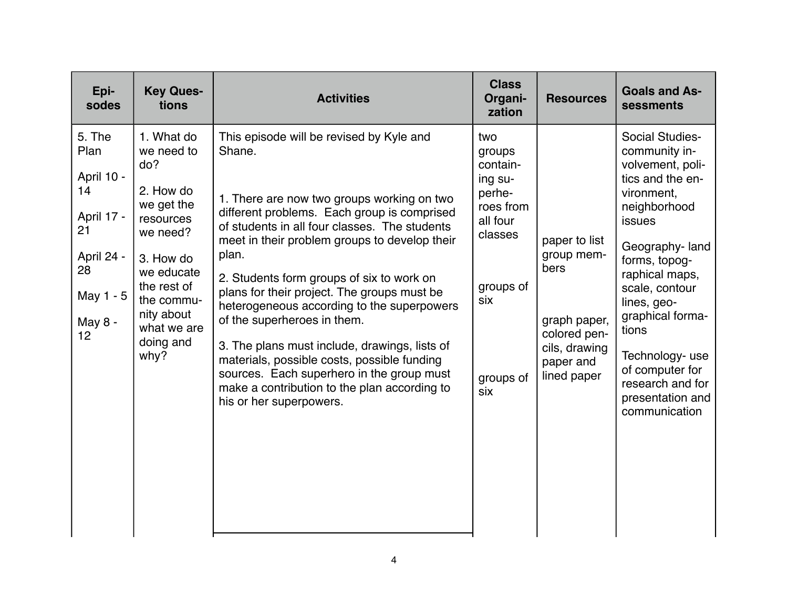| Epi-<br>sodes                                                                                            | <b>Key Ques-</b><br>tions                                                                                                                                                                     | <b>Activities</b>                                                                                                                                                                                                                                                                                                                                                                                                                                                                                                                                                                                                                                           | <b>Class</b><br>Organi-<br>zation                                                                                          | <b>Resources</b>                                                                                                 | <b>Goals and As-</b><br>sessments                                                                                                                                                                                                                                                                                                        |
|----------------------------------------------------------------------------------------------------------|-----------------------------------------------------------------------------------------------------------------------------------------------------------------------------------------------|-------------------------------------------------------------------------------------------------------------------------------------------------------------------------------------------------------------------------------------------------------------------------------------------------------------------------------------------------------------------------------------------------------------------------------------------------------------------------------------------------------------------------------------------------------------------------------------------------------------------------------------------------------------|----------------------------------------------------------------------------------------------------------------------------|------------------------------------------------------------------------------------------------------------------|------------------------------------------------------------------------------------------------------------------------------------------------------------------------------------------------------------------------------------------------------------------------------------------------------------------------------------------|
| 5. The<br>Plan<br>April 10 -<br>14<br>April 17 -<br>21<br>April 24 -<br>28<br>May 1 - 5<br>May 8 -<br>12 | 1. What do<br>we need to<br>do?<br>2. How do<br>we get the<br>resources<br>we need?<br>3. How do<br>we educate<br>the rest of<br>the commu-<br>nity about<br>what we are<br>doing and<br>why? | This episode will be revised by Kyle and<br>Shane.<br>1. There are now two groups working on two<br>different problems. Each group is comprised<br>of students in all four classes. The students<br>meet in their problem groups to develop their<br>plan.<br>2. Students form groups of six to work on<br>plans for their project. The groups must be<br>heterogeneous according to the superpowers<br>of the superheroes in them.<br>3. The plans must include, drawings, lists of<br>materials, possible costs, possible funding<br>sources. Each superhero in the group must<br>make a contribution to the plan according to<br>his or her superpowers. | two<br>groups<br>contain-<br>ing su-<br>perhe-<br>roes from<br>all four<br>classes<br>groups of<br>six<br>groups of<br>six | paper to list<br>group mem-<br>bers<br>graph paper,<br>colored pen-<br>cils, drawing<br>paper and<br>lined paper | <b>Social Studies-</b><br>community in-<br>volvement, poli-<br>tics and the en-<br>vironment,<br>neighborhood<br>issues<br>Geography-land<br>forms, topog-<br>raphical maps,<br>scale, contour<br>lines, geo-<br>graphical forma-<br>tions<br>Technology-use<br>of computer for<br>research and for<br>presentation and<br>communication |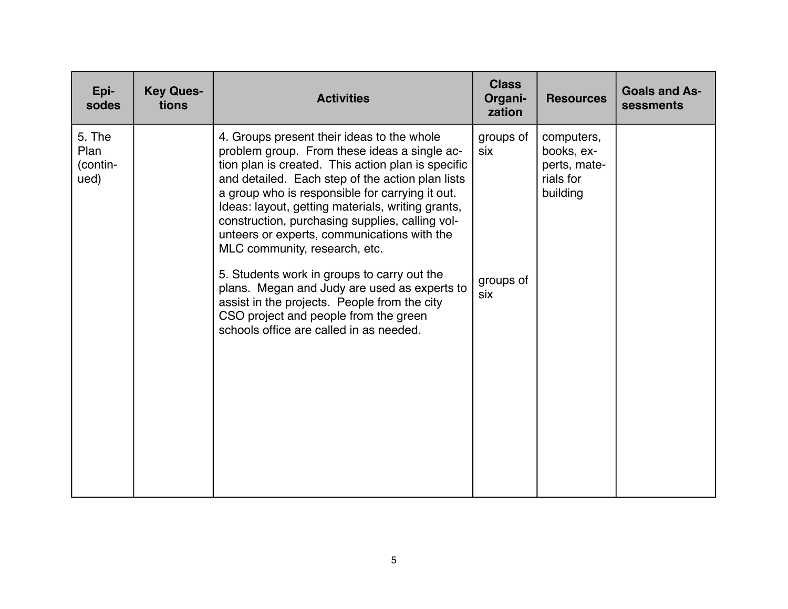| Epi-<br>sodes                      | <b>Key Ques-</b><br>tions | <b>Activities</b>                                                                                                                                                                                                                                                                                                                                                                                                                                                                                                                                                                                                                                                                  | <b>Class</b><br>Organi-<br>zation    | <b>Resources</b>                                                  | <b>Goals and As-</b><br>sessments |
|------------------------------------|---------------------------|------------------------------------------------------------------------------------------------------------------------------------------------------------------------------------------------------------------------------------------------------------------------------------------------------------------------------------------------------------------------------------------------------------------------------------------------------------------------------------------------------------------------------------------------------------------------------------------------------------------------------------------------------------------------------------|--------------------------------------|-------------------------------------------------------------------|-----------------------------------|
| 5. The<br>Plan<br>(contin-<br>ued) |                           | 4. Groups present their ideas to the whole<br>problem group. From these ideas a single ac-<br>tion plan is created. This action plan is specific<br>and detailed. Each step of the action plan lists<br>a group who is responsible for carrying it out.<br>Ideas: layout, getting materials, writing grants,<br>construction, purchasing supplies, calling vol-<br>unteers or experts, communications with the<br>MLC community, research, etc.<br>5. Students work in groups to carry out the<br>plans. Megan and Judy are used as experts to<br>assist in the projects. People from the city<br>CSO project and people from the green<br>schools office are called in as needed. | groups of<br>six<br>groups of<br>six | computers,<br>books, ex-<br>perts, mate-<br>rials for<br>building |                                   |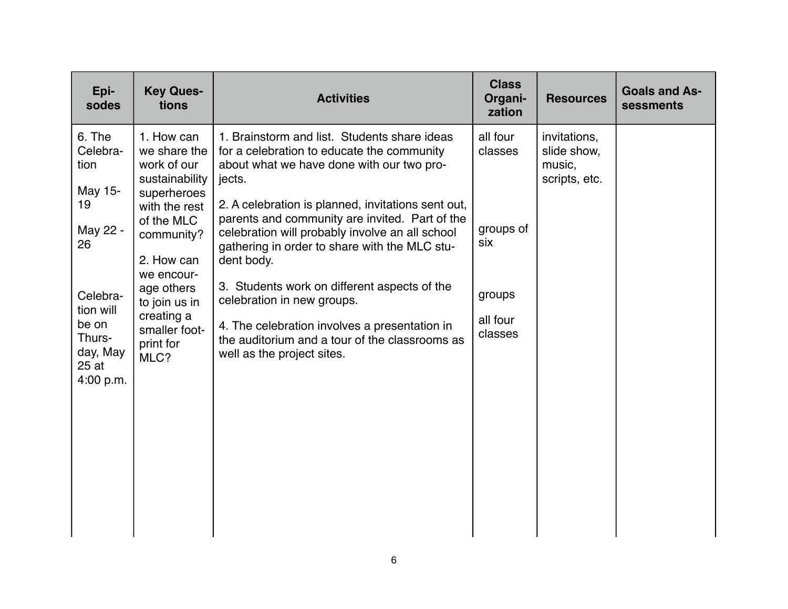| Epi-<br><b>Key Ques-</b><br>sodes<br>tions                                                                                                                                                                                                                                                                                                                                            | <b>Activities</b>                                                                                                                                                                                                                                                                                                                                                                                                                                                                                                                                                                          | <b>Class</b><br>Organi-<br>zation                                        | <b>Resources</b>                                       | <b>Goals and As-</b><br>sessments |
|---------------------------------------------------------------------------------------------------------------------------------------------------------------------------------------------------------------------------------------------------------------------------------------------------------------------------------------------------------------------------------------|--------------------------------------------------------------------------------------------------------------------------------------------------------------------------------------------------------------------------------------------------------------------------------------------------------------------------------------------------------------------------------------------------------------------------------------------------------------------------------------------------------------------------------------------------------------------------------------------|--------------------------------------------------------------------------|--------------------------------------------------------|-----------------------------------|
| 6. The<br>1. How can<br>Celebra-<br>we share the<br>work of our<br>tion<br>sustainability<br>May 15-<br>superheroes<br>19<br>with the rest<br>of the MLC<br>May 22 -<br>community?<br>26<br>2. How can<br>we encour-<br>age others<br>Celebra-<br>to join us in<br>tion will<br>creating a<br>be on<br>smaller foot-<br>Thurs-<br>print for<br>day, May<br>MLC?<br>25 at<br>4:00 p.m. | 1. Brainstorm and list. Students share ideas<br>for a celebration to educate the community<br>about what we have done with our two pro-<br>jects.<br>2. A celebration is planned, invitations sent out,<br>parents and community are invited. Part of the<br>celebration will probably involve an all school<br>gathering in order to share with the MLC stu-<br>dent body.<br>3. Students work on different aspects of the<br>celebration in new groups.<br>4. The celebration involves a presentation in<br>the auditorium and a tour of the classrooms as<br>well as the project sites. | all four<br>classes<br>groups of<br>six<br>groups<br>all four<br>classes | invitations,<br>slide show,<br>music,<br>scripts, etc. |                                   |